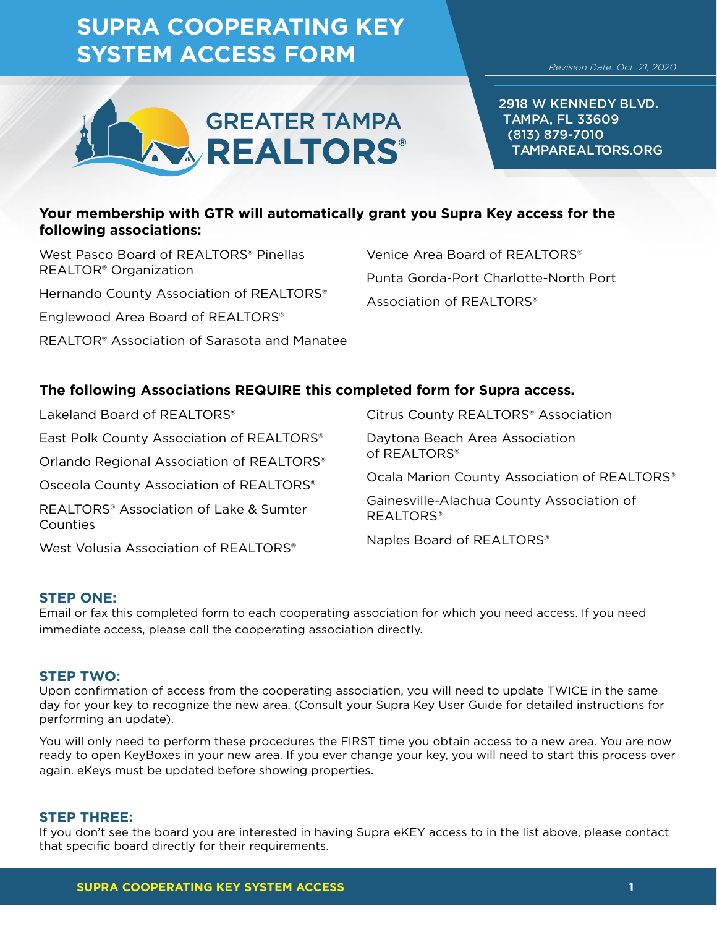# **SUPRA COOPERATING KEY SYSTEM ACCESS FORM**



2918 W KENNEDY BLVD. TAMPA, FL 33609 (813) 879-7010 TAMPAREALTORS.ORG

## **Your membership with GTR will automatically grant you Supra Key access for the following associations:**

West Pasco Board of REALTORS® Pinellas REALTOR® Organization Hernando County Association of REALTORS® Englewood Area Board of REALTORS® REALTOR® Association of Sarasota and Manatee Venice Area Board of REALTORS® Punta Gorda-Port Charlotte-North Port Association of REALTORS®

## **The following Associations REQUIRE this completed form for Supra access.**

Lakeland Board of REALTORS® East Polk County Association of REALTORS® Orlando Regional Association of REALTORS® Osceola County Association of REALTORS® REALTORS® Association of Lake & Sumter Counties West Volusia Association of REALTORS® Citrus County REALTORS® Association Daytona Beach Area Association of REALTORS® Ocala Marion County Association of REALTORS® Gainesville-Alachua County Association of REALTORS® Naples Board of REALTORS®

## **STEP ONE:**

Email or fax this completed form to each cooperating association for which you need access. If you need immediate access, please call the cooperating association directly.

#### **STEP TWO:**

Upon confirmation of access from the cooperating association, you will need to update TWICE in the same day for your key to recognize the new area. (Consult your Supra Key User Guide for detailed instructions for performing an update).

You will only need to perform these procedures the FIRST time you obtain access to a new area. You are now ready to open KeyBoxes in your new area. If you ever change your key, you will need to start this process over again. eKeys must be updated before showing properties.

### **STEP THREE:**

If you don't see the board you are interested in having Supra eKEY access to in the list above, please contact that specific board directly for their requirements.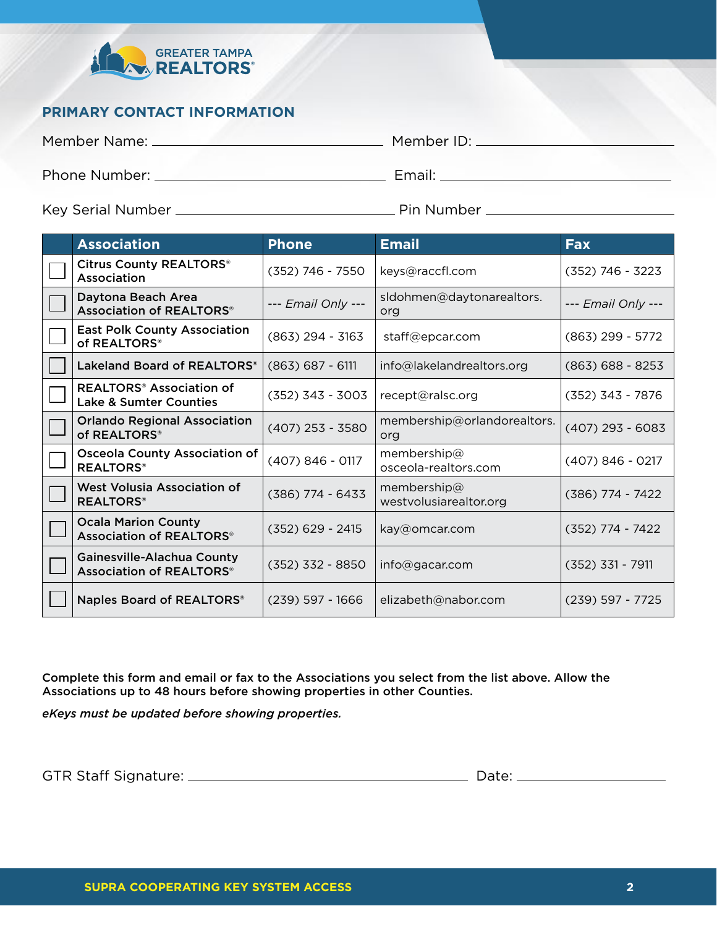

# **PRIMARY CONTACT INFORMATION**

Member Name: Member ID:

Phone Number: Email:

Key Serial Number Pin Number

| <b>Association</b>                                                              | <b>Phone</b>       | <b>Email</b>                          | <b>Fax</b>         |
|---------------------------------------------------------------------------------|--------------------|---------------------------------------|--------------------|
| Citrus County REALTORS®<br>Association                                          | $(352)$ 746 - 7550 | keys@raccfl.com                       | $(352)$ 746 - 3223 |
| Daytona Beach Area<br>Association of REALTORS®                                  | --- Email Only --- | sIdohmen@daytonarealtors.<br>org      | --- Email Only --- |
| <b>East Polk County Association</b><br>of REALTORS®                             | $(863)$ 294 - 3163 | staff@epcar.com                       | $(863)$ 299 - 5772 |
| Lakeland Board of REALTORS®                                                     | $(863) 687 - 6111$ | info@lakelandrealtors.org             | $(863) 688 - 8253$ |
| <b>REALTORS<sup>®</sup></b> Association of<br><b>Lake &amp; Sumter Counties</b> | $(352)$ 343 - 3003 | recept@ralsc.org                      | $(352)$ 343 - 7876 |
| <b>Orlando Regional Association</b><br>of REALTORS®                             | $(407)$ 253 - 3580 | membership@orlandorealtors.<br>org    | $(407)$ 293 - 6083 |
| <b>Osceola County Association of</b><br><b>REALTORS®</b>                        | $(407) 846 - 0117$ | membership@<br>osceola-realtors.com   | $(407) 846 - 0217$ |
| West Volusia Association of<br><b>REALTORS®</b>                                 | $(386)$ 774 - 6433 | membership@<br>westvolusiarealtor.org | $(386)$ 774 - 7422 |
| <b>Ocala Marion County</b><br>Association of REALTORS®                          | $(352)$ 629 - 2415 | kay@omcar.com                         | (352) 774 - 7422   |
| Gainesville-Alachua County<br>Association of REALTORS®                          | $(352)$ 332 - 8850 | info@gacar.com                        | $(352)$ 331 - 7911 |
| Naples Board of REALTORS®                                                       | $(239)$ 597 - 1666 | elizabeth@nabor.com                   | $(239)$ 597 - 7725 |

Complete this form and email or fax to the Associations you select from the list above. Allow the Associations up to 48 hours before showing properties in other Counties.

*eKeys must be updated before showing properties.* 

GTR Staff Signature: Date: